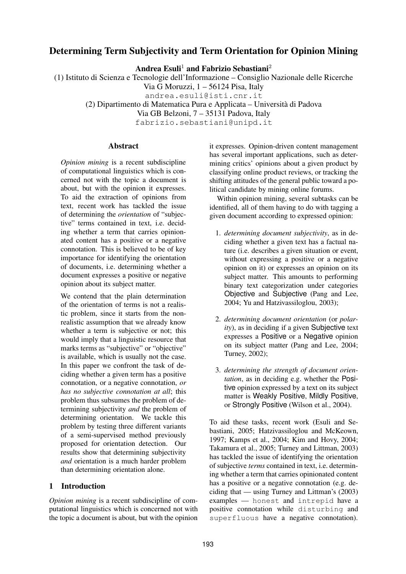# **Determining Term Subjectivity and Term Orientation for Opinion Mining**

**Andrea Esuli**<sup>1</sup> **and Fabrizio Sebastiani**<sup>2</sup>

(1) Istituto di Scienza e Tecnologie dell'Informazione – Consiglio Nazionale delle Ricerche

Via G Moruzzi, 1 – 56124 Pisa, Italy

andrea.esuli@isti.cnr.it

(2) Dipartimento di Matematica Pura e Applicata – Universit`a di Padova

Via GB Belzoni, 7 – 35131 Padova, Italy

fabrizio.sebastiani@unipd.it

## **Abstract**

*Opinion mining* is a recent subdiscipline of computational linguistics which is concerned not with the topic a document is about, but with the opinion it expresses. To aid the extraction of opinions from text, recent work has tackled the issue of determining the *orientation* of "subjective" terms contained in text, i.e. deciding whether a term that carries opinionated content has a positive or a negative connotation. This is believed to be of key importance for identifying the orientation of documents, i.e. determining whether a document expresses a positive or negative opinion about its subject matter.

We contend that the plain determination of the orientation of terms is not a realistic problem, since it starts from the nonrealistic assumption that we already know whether a term is subjective or not; this would imply that a linguistic resource that marks terms as "subjective" or "objective" is available, which is usually not the case. In this paper we confront the task of deciding whether a given term has a positive connotation, or a negative connotation, *or has no subjective connotation at all*; this problem thus subsumes the problem of determining subjectivity *and* the problem of determining orientation. We tackle this problem by testing three different variants of a semi-supervised method previously proposed for orientation detection. Our results show that determining subjectivity *and* orientation is a much harder problem than determining orientation alone.

## **1 Introduction**

*Opinion mining* is a recent subdiscipline of computational linguistics which is concerned not with the topic a document is about, but with the opinion it expresses. Opinion-driven content management has several important applications, such as determining critics' opinions about a given product by classifying online product reviews, or tracking the shifting attitudes of the general public toward a political candidate by mining online forums.

Within opinion mining, several subtasks can be identified, all of them having to do with tagging a given document according to expressed opinion:

- 1. *determining document subjectivity*, as in deciding whether a given text has a factual nature (i.e. describes a given situation or event, without expressing a positive or a negative opinion on it) or expresses an opinion on its subject matter. This amounts to performing binary text categorization under categories Objective and Subjective (Pang and Lee, 2004; Yu and Hatzivassiloglou, 2003);
- 2. *determining document orientation* (or *polarity*), as in deciding if a given Subjective text expresses a Positive or a Negative opinion on its subject matter (Pang and Lee, 2004; Turney, 2002);
- 3. *determining the strength of document orientation*, as in deciding e.g. whether the Positive opinion expressed by a text on its subject matter is Weakly Positive, Mildly Positive, or Strongly Positive (Wilson et al., 2004).

To aid these tasks, recent work (Esuli and Sebastiani, 2005; Hatzivassiloglou and McKeown, 1997; Kamps et al., 2004; Kim and Hovy, 2004; Takamura et al., 2005; Turney and Littman, 2003) has tackled the issue of identifying the orientation of subjective *terms* contained in text, i.e. determining whether a term that carries opinionated content has a positive or a negative connotation (e.g. deciding that — using Turney and Littman's (2003) examples — honest and intrepid have a positive connotation while disturbing and superfluous have a negative connotation).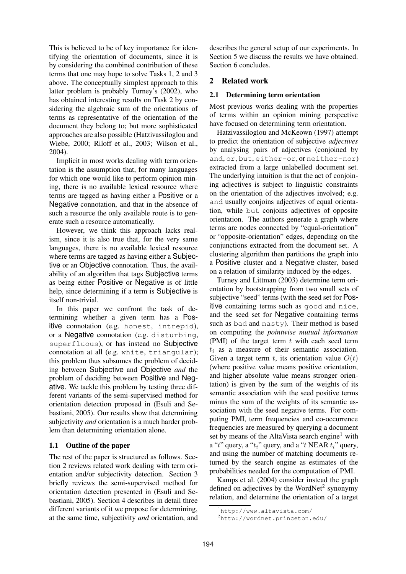This is believed to be of key importance for identifying the orientation of documents, since it is by considering the combined contribution of these terms that one may hope to solve Tasks 1, 2 and 3 above. The conceptually simplest approach to this latter problem is probably Turney's (2002), who has obtained interesting results on Task 2 by considering the algebraic sum of the orientations of terms as representative of the orientation of the document they belong to; but more sophisticated approaches are also possible (Hatzivassiloglou and Wiebe, 2000; Riloff et al., 2003; Wilson et al., 2004).

Implicit in most works dealing with term orientation is the assumption that, for many languages for which one would like to perform opinion mining, there is no available lexical resource where terms are tagged as having either a Positive or a Negative connotation, and that in the absence of such a resource the only available route is to generate such a resource automatically.

However, we think this approach lacks realism, since it is also true that, for the very same languages, there is no available lexical resource where terms are tagged as having either a Subjective or an Objective connotation. Thus, the availability of an algorithm that tags Subjective terms as being either Positive or Negative is of little help, since determining if a term is Subjective is itself non-trivial.

In this paper we confront the task of determining whether a given term has a Positive connotation (e.g. honest, intrepid), or a Negative connotation (e.g. disturbing, superfluous), or has instead no Subjective connotation at all (e.g. white, triangular); this problem thus subsumes the problem of deciding between Subjective and Objective *and* the problem of deciding between Positive and Negative. We tackle this problem by testing three different variants of the semi-supervised method for orientation detection proposed in (Esuli and Sebastiani, 2005). Our results show that determining subjectivity *and* orientation is a much harder problem than determining orientation alone.

## **1.1 Outline of the paper**

The rest of the paper is structured as follows. Section 2 reviews related work dealing with term orientation and/or subjectivity detection. Section 3 briefly reviews the semi-supervised method for orientation detection presented in (Esuli and Sebastiani, 2005). Section 4 describes in detail three different variants of it we propose for determining, at the same time, subjectivity *and* orientation, and

describes the general setup of our experiments. In Section 5 we discuss the results we have obtained. Section 6 concludes.

## **2 Related work**

#### **2.1 Determining term orientation**

Most previous works dealing with the properties of terms within an opinion mining perspective have focused on determining term orientation.

Hatzivassiloglou and McKeown (1997) attempt to predict the orientation of subjective *adjectives* by analysing pairs of adjectives (conjoined by and, or, but, either-or, or neither-nor) extracted from a large unlabelled document set. The underlying intuition is that the act of conjoining adjectives is subject to linguistic constraints on the orientation of the adjectives involved; e.g. and usually conjoins adjectives of equal orientation, while but conjoins adjectives of opposite orientation. The authors generate a graph where terms are nodes connected by "equal-orientation" or "opposite-orientation" edges, depending on the conjunctions extracted from the document set. A clustering algorithm then partitions the graph into a Positive cluster and a Negative cluster, based on a relation of similarity induced by the edges.

Turney and Littman (2003) determine term orientation by bootstrapping from two small sets of subjective "seed" terms (with the seed set for Positive containing terms such as good and nice, and the seed set for Negative containing terms such as bad and nasty). Their method is based on computing the *pointwise mutual information* (PMI) of the target term  $t$  with each seed term  $t_i$  as a measure of their semantic association. Given a target term t, its orientation value  $O(t)$ (where positive value means positive orientation, and higher absolute value means stronger orientation) is given by the sum of the weights of its semantic association with the seed positive terms minus the sum of the weights of its semantic association with the seed negative terms. For computing PMI, term frequencies and co-occurrence frequencies are measured by querying a document set by means of the AltaVista search engine<sup>1</sup> with a "t" query, a " $t_i$ " query, and a "t NEAR  $t_i$ " query, and using the number of matching documents returned by the search engine as estimates of the probabilities needed for the computation of PMI.

Kamps et al. (2004) consider instead the graph defined on adjectives by the WordNet<sup>2</sup> synonymy relation, and determine the orientation of a target

<sup>1</sup>http://www.altavista.com/

<sup>2</sup>http://wordnet.princeton.edu/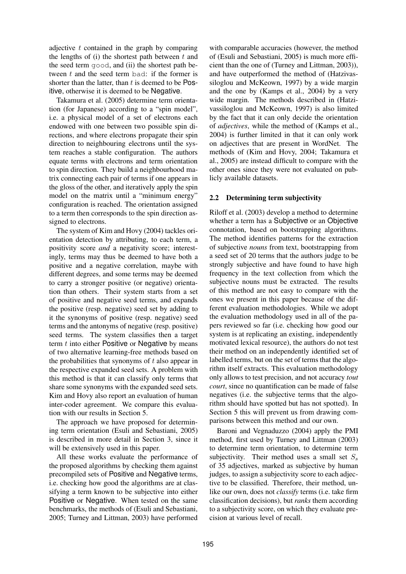adjective  $t$  contained in the graph by comparing the lengths of  $(i)$  the shortest path between  $t$  and the seed term good, and (ii) the shortest path between  $t$  and the seed term bad: if the former is shorter than the latter, than  $t$  is deemed to be  $Pos$ itive, otherwise it is deemed to be Negative.

Takamura et al. (2005) determine term orientation (for Japanese) according to a "spin model", i.e. a physical model of a set of electrons each endowed with one between two possible spin directions, and where electrons propagate their spin direction to neighbouring electrons until the system reaches a stable configuration. The authors equate terms with electrons and term orientation to spin direction. They build a neighbourhood matrix connecting each pair of terms if one appears in the gloss of the other, and iteratively apply the spin model on the matrix until a "minimum energy" configuration is reached. The orientation assigned to a term then corresponds to the spin direction assigned to electrons.

The system of Kim and Hovy (2004) tackles orientation detection by attributing, to each term, a positivity score *and* a negativity score; interestingly, terms may thus be deemed to have both a positive and a negative correlation, maybe with different degrees, and some terms may be deemed to carry a stronger positive (or negative) orientation than others. Their system starts from a set of positive and negative seed terms, and expands the positive (resp. negative) seed set by adding to it the synonyms of positive (resp. negative) seed terms and the antonyms of negative (resp. positive) seed terms. The system classifies then a target term  $t$  into either Positive or Negative by means of two alternative learning-free methods based on the probabilities that synonyms of  $t$  also appear in the respective expanded seed sets. A problem with this method is that it can classify only terms that share some synonyms with the expanded seed sets. Kim and Hovy also report an evaluation of human inter-coder agreement. We compare this evaluation with our results in Section 5.

The approach we have proposed for determining term orientation (Esuli and Sebastiani, 2005) is described in more detail in Section 3, since it will be extensively used in this paper.

All these works evaluate the performance of the proposed algorithms by checking them against precompiled sets of Positive and Negative terms, i.e. checking how good the algorithms are at classifying a term known to be subjective into either Positive or Negative. When tested on the same benchmarks, the methods of (Esuli and Sebastiani, 2005; Turney and Littman, 2003) have performed

with comparable accuracies (however, the method of (Esuli and Sebastiani, 2005) is much more efficient than the one of (Turney and Littman, 2003)), and have outperformed the method of (Hatzivassiloglou and McKeown, 1997) by a wide margin and the one by (Kamps et al., 2004) by a very wide margin. The methods described in (Hatzivassiloglou and McKeown, 1997) is also limited by the fact that it can only decide the orientation of *adjectives*, while the method of (Kamps et al., 2004) is further limited in that it can only work on adjectives that are present in WordNet. The methods of (Kim and Hovy, 2004; Takamura et al., 2005) are instead difficult to compare with the other ones since they were not evaluated on publicly available datasets.

## **2.2 Determining term subjectivity**

Riloff et al. (2003) develop a method to determine whether a term has a Subjective or an Objective connotation, based on bootstrapping algorithms. The method identifies patterns for the extraction of subjective *nouns* from text, bootstrapping from a seed set of 20 terms that the authors judge to be strongly subjective and have found to have high frequency in the text collection from which the subjective nouns must be extracted. The results of this method are not easy to compare with the ones we present in this paper because of the different evaluation methodologies. While we adopt the evaluation methodology used in all of the papers reviewed so far (i.e. checking how good our system is at replicating an existing, independently motivated lexical resource), the authors do not test their method on an independently identified set of labelled terms, but on the set of terms that the algorithm itself extracts. This evaluation methodology only allows to test precision, and not accuracy *tout court*, since no quantification can be made of false negatives (i.e. the subjective terms that the algorithm should have spotted but has not spotted). In Section 5 this will prevent us from drawing comparisons between this method and our own.

Baroni and Vegnaduzzo (2004) apply the PMI method, first used by Turney and Littman (2003) to determine term orientation, to determine term subjectivity. Their method uses a small set  $S_s$ of 35 adjectives, marked as subjective by human judges, to assign a subjectivity score to each adjective to be classified. Therefore, their method, unlike our own, does not *classify* terms (i.e. take firm classification decisions), but *ranks* them according to a subjectivity score, on which they evaluate precision at various level of recall.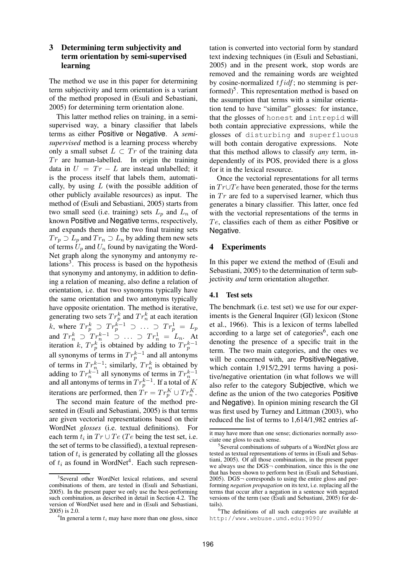### **3 Determining term subjectivity and term orientation by semi-supervised learning**

The method we use in this paper for determining term subjectivity and term orientation is a variant of the method proposed in (Esuli and Sebastiani, 2005) for determining term orientation alone.

This latter method relies on training, in a semisupervised way, a binary classifier that labels terms as either Positive or Negative. A *semisupervised* method is a learning process whereby only a small subset  $L \subset Tr$  of the training data  $Tr$  are human-labelled. In origin the training data in  $U = Tr - L$  are instead unlabelled; it is the process itself that labels them, automatically, by using  $L$  (with the possible addition of other publicly available resources) as input. The method of (Esuli and Sebastiani, 2005) starts from two small seed (i.e. training) sets  $L_n$  and  $L_n$  of known Positive and Negative terms, respectively, and expands them into the two final training sets  $Tr_p \supset L_p$  and  $Tr_n \supset L_n$  by adding them new sets of terms  $U_p$  and  $U_n$  found by navigating the Word-Net graph along the synonymy and antonymy relations<sup>3</sup>. This process is based on the hypothesis that synonymy and antonymy, in addition to defining a relation of meaning, also define a relation of orientation, i.e. that two synonyms typically have the same orientation and two antonyms typically have opposite orientation. The method is iterative, generating two sets  $Tr_p^k$  and  $Tr_n^k$  at each iteration k, where  $Tr_p^k \supset Tr_p^{k-1} \supset \ldots \supset Tr_p^1 = L_p$ and  $Tr_n^k \supset Tr_n^{k-1} \supset \ldots \supset Tr_n^1 = L_n$ . At iteration k,  $Tr_{p}^{k}$  is obtained by adding to  $Tr_{p}^{k-1}$ all synonyms of terms in  $Tr_p^{k-1}$  and all antonyms of terms in  $Tr_n^{k-1}$ ; similarly,  $Tr_n^k$  is obtained by adding to  $Tr_n^{k-1}$  all synonyms of terms in  $Tr_n^{k-1}$ <br>and all antonyms of terms in  $Tr_p^{k-1}$ . If a total of K iterations are performed, then  $Tr = Tr_p^K \cup Tr_n^K$ .

The second main feature of the method presented in (Esuli and Sebastiani, 2005) is that terms are given vectorial representations based on their WordNet *glosses* (i.e. textual definitions). For each term  $t_i$  in  $Tr \cup Te$  (Te being the test set, i.e. the set of terms to be classified), a textual representation of  $t_i$  is generated by collating all the glosses of  $t_i$  as found in WordNet<sup>4</sup>. Each such representation is converted into vectorial form by standard text indexing techniques (in (Esuli and Sebastiani, 2005) and in the present work, stop words are removed and the remaining words are weighted by cosine-normalized  $tfidf$ ; no stemming is performed)<sup>5</sup>. This representation method is based on the assumption that terms with a similar orientation tend to have "similar" glosses: for instance, that the glosses of honest and intrepid will both contain appreciative expressions, while the glosses of disturbing and superfluous will both contain derogative expressions. Note that this method allows to classify *any* term, independently of its POS, provided there is a gloss for it in the lexical resource.

Once the vectorial representations for all terms in  $Tr \cup Te$  have been generated, those for the terms in  $Tr$  are fed to a supervised learner, which thus generates a binary classifier. This latter, once fed with the vectorial representations of the terms in  $Te$ , classifies each of them as either Positive or Negative.

#### **4 Experiments**

In this paper we extend the method of (Esuli and Sebastiani, 2005) to the determination of term subjectivity *and* term orientation altogether.

#### **4.1 Test sets**

The benchmark (i.e. test set) we use for our experiments is the General Inquirer (GI) lexicon (Stone et al., 1966). This is a lexicon of terms labelled according to a large set of categories $6$ , each one denoting the presence of a specific trait in the term. The two main categories, and the ones we will be concerned with, are **Positive**/Negative, which contain 1,915/2,291 terms having a positive/negative orientation (in what follows we will also refer to the category Subjective, which we define as the union of the two categories Positive and Negative). In opinion mining research the GI was first used by Turney and Littman (2003), who reduced the list of terms to 1,614/1,982 entries af-

<sup>&</sup>lt;sup>3</sup>Several other WordNet lexical relations, and several combinations of them, are tested in (Esuli and Sebastiani, 2005). In the present paper we only use the best-performing such combination, as described in detail in Section 4.2. The version of WordNet used here and in (Esuli and Sebastiani, 2005) is 2.0.

 ${}^{4}$ In general a term  $t_i$  may have more than one gloss, since

it may have more than one sense; dictionaries normally associate one gloss to each sense.

<sup>5</sup> Several combinations of subparts of a WordNet gloss are tested as textual representations of terms in (Esuli and Sebastiani, 2005). Of all those combinations, in the present paper we always use the DGS¬ combination, since this is the one that has been shown to perform best in (Esuli and Sebastiani, 2005). DGS¬ corresponds to using the entire gloss and performing *negation propagation* on its text, i.e. replacing all the terms that occur after a negation in a sentence with negated versions of the term (see (Esuli and Sebastiani, 2005) for details).

<sup>&</sup>lt;sup>6</sup>The definitions of all such categories are available at http://www.webuse.umd.edu:9090/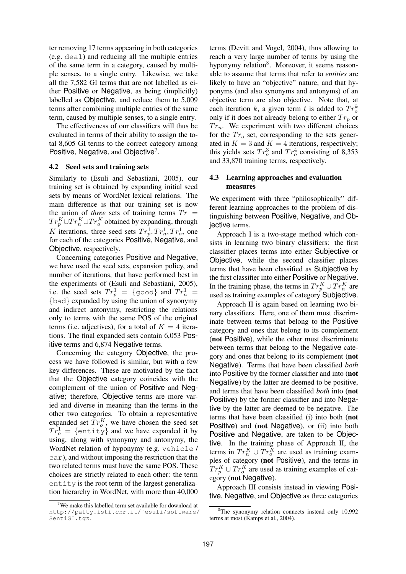ter removing 17 terms appearing in both categories (e.g. deal) and reducing all the multiple entries of the same term in a category, caused by multiple senses, to a single entry. Likewise, we take all the 7,582 GI terms that are not labelled as either Positive or Negative, as being (implicitly) labelled as Objective, and reduce them to 5,009 terms after combining multiple entries of the same term, caused by multiple senses, to a single entry.

The effectiveness of our classifiers will thus be evaluated in terms of their ability to assign the total 8,605 GI terms to the correct category among Positive, Negative, and Objective<sup>7</sup>.

#### **4.2 Seed sets and training sets**

Similarly to (Esuli and Sebastiani, 2005), our training set is obtained by expanding initial seed sets by means of WordNet lexical relations. The main difference is that our training set is now the union of *three* sets of training terms  $Tr =$  $Tr_p^K \cup Tr_n^K \cup Tr_o^K$  obtained by expanding, through K iterations, three seed sets  $Tr_p^1, Tr_n^1, Tr_o^1$ , one for each of the categories Positive, Negative, and Objective, respectively.

Concerning categories Positive and Negative, we have used the seed sets, expansion policy, and number of iterations, that have performed best in the experiments of (Esuli and Sebastiani, 2005), i.e. the seed sets  $Tr_p^1 = \{$ good} and  $Tr_n^1 =$ {bad} expanded by using the union of synonymy and indirect antonymy, restricting the relations only to terms with the same POS of the original terms (i.e. adjectives), for a total of  $K = 4$  iterations. The final expanded sets contain 6,053 Positive terms and 6,874 Negative terms.

Concerning the category Objective, the process we have followed is similar, but with a few key differences. These are motivated by the fact that the Objective category coincides with the complement of the union of Positive and Negative; therefore, Objective terms are more varied and diverse in meaning than the terms in the other two categories. To obtain a representative expanded set  $Tr_0^K$ , we have chosen the seed set  $Tr_o^1 = \{\text{entity}\}$  and we have expanded it by using, along with synonymy and antonymy, the WordNet relation of hyponymy (e.g. vehicle / car), and without imposing the restriction that the two related terms must have the same POS. These choices are strictly related to each other: the term entity is the root term of the largest generalization hierarchy in WordNet, with more than 40,000 terms (Devitt and Vogel, 2004), thus allowing to reach a very large number of terms by using the hyponymy relation<sup>8</sup>. Moreover, it seems reasonable to assume that terms that refer to *entities* are likely to have an "objective" nature, and that hyponyms (and also synonyms and antonyms) of an objective term are also objective. Note that, at each iteration k, a given term t is added to  $Tr_o^k$ only if it does not already belong to either  $Tr_p$  or  $Tr_n$ . We experiment with two different choices for the  $Tr_{o}$  set, corresponding to the sets generated in  $K = 3$  and  $K = 4$  iterations, respectively; this yields sets  $Tr_o^3$  and  $Tr_o^4$  consisting of 8,353 and 33,870 training terms, respectively.

#### **4.3 Learning approaches and evaluation measures**

We experiment with three "philosophically" different learning approaches to the problem of distinguishing between Positive, Negative, and Objective terms.

Approach I is a two-stage method which consists in learning two binary classifiers: the first classifier places terms into either Subjective or Objective, while the second classifier places terms that have been classified as Subjective by the first classifier into either Positive or Negative. In the training phase, the terms in  $Tr_p^K \cup Tr_n^K$  are used as training examples of category Subjective.

Approach II is again based on learning two binary classifiers. Here, one of them must discriminate between terms that belong to the Positive category and ones that belong to its complement (**not** Positive), while the other must discriminate between terms that belong to the Negative category and ones that belong to its complement (**not** Negative). Terms that have been classified *both* into Positive by the former classifier and into (**not** Negative) by the latter are deemed to be positive, and terms that have been classified *both* into (**not** Positive) by the former classifier and into Negative by the latter are deemed to be negative. The terms that have been classified (i) into both (**not** Positive) and (**not** Negative), or (ii) into both Positive and Negative, are taken to be Objective. In the training phase of Approach II, the terms in  $Tr_n^K \cup Tr_o^K$  are used as training examples of category (**not** Positive), and the terms in  $Tr_p^K$   $\cup$   $Tr_o^K$  are used as training examples of category (**not** Negative).

Approach III consists instead in viewing Positive, Negative, and Objective as three categories

We make this labelled term set available for download at http://patty.isti.cnr.it/˜esuli/software/ SentiGI.tgz.

 ${}^{8}$ The synonymy relation connects instead only 10,992 terms at most (Kamps et al., 2004).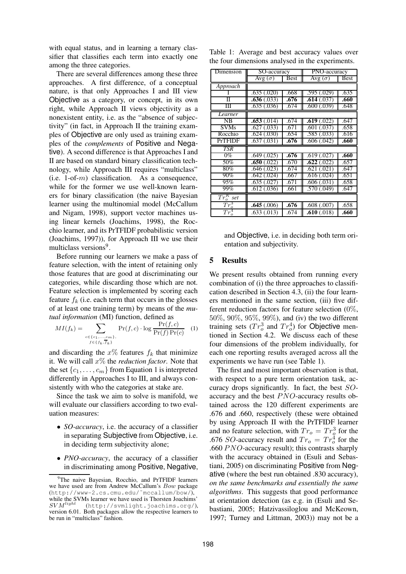with equal status, and in learning a ternary classifier that classifies each term into exactly one among the three categories.

There are several differences among these three approaches. A first difference, of a conceptual nature, is that only Approaches I and III view Objective as a category, or concept, in its own right, while Approach II views objectivity as a nonexistent entity, i.e. as the "absence of subjectivity" (in fact, in Approach II the training examples of Objective are only used as training examples of the *complements* of Positive and Negative). A second difference is that Approaches I and II are based on standard binary classification technology, while Approach III requires "multiclass" (i.e.  $1$ -of-*m*) classification. As a consequence, while for the former we use well-known learners for binary classification (the naive Bayesian learner using the multinomial model (McCallum and Nigam, 1998), support vector machines using linear kernels (Joachims, 1998), the Rocchio learner, and its PrTFIDF probabilistic version (Joachims, 1997)), for Approach III we use their multiclass versions<sup>9</sup>.

Before running our learners we make a pass of feature selection, with the intent of retaining only those features that are good at discriminating our categories, while discarding those which are not. Feature selection is implemented by scoring each feature  $f_k$  (i.e. each term that occurs in the glosses of at least one training term) by means of the *mutual information* (MI) function, defined as

$$
MI(f_k) = \sum_{\substack{c \in \{c_1, \ldots, c_m\}, \\ f \in \{f_k, \overline{f}_k\}}} \Pr(f, c) \cdot \log \frac{\Pr(f, c)}{\Pr(f) \Pr(c)} \quad (1)
$$

and discarding the  $x\%$  features  $f_k$  that minimize it. We will call x% the *reduction factor*. Note that the set  $\{c_1, \ldots, c_m\}$  from Equation 1 is interpreted differently in Approaches I to III, and always consistently with who the categories at stake are.

Since the task we aim to solve is manifold, we will evaluate our classifiers according to two evaluation measures:

- *SO-accuracy*, i.e. the accuracy of a classifier in separating Subjective from Objective, i.e. in deciding term subjectivity alone;
- *PNO-accuracy*, the accuracy of a classifier in discriminating among Positive, Negative,

|  | Table 1: Average and best accuracy values over   |  |  |  |
|--|--------------------------------------------------|--|--|--|
|  | the four dimensions analysed in the experiments. |  |  |  |

| Dimension             | SO-accuracy              |      | PNO-accuracy   |      |  |
|-----------------------|--------------------------|------|----------------|------|--|
|                       |                          |      |                |      |  |
|                       | $\overline{Avg}(\sigma)$ | Best | Avg $(\sigma)$ | Best |  |
| Approach              |                          |      |                |      |  |
|                       | .635(.020)               | .668 | .595(.029)     | .635 |  |
| П                     | .636(.033)               | .676 | .614(037)      | .660 |  |
| Ш                     | .635(.036)               | .674 | .600(.039)     | .648 |  |
| Learner               |                          |      |                |      |  |
| NB                    | .653(.014)               | .674 | .619(.022)     | .647 |  |
| <b>SVMs</b>           | .627(.033)               | .671 | .601(.037)     | .658 |  |
| Rocchio               | $.624 \,(.030)$          | .654 | .585(.033)     | .616 |  |
| <b>PrTFIDF</b>        | $.637 \,(.031)$          | .676 | .606(.042)     | .660 |  |
| <b>TSR</b>            |                          |      |                |      |  |
| $0\%$                 | .649(.025)               | .676 | .619(.027)     | .660 |  |
| 50%                   | .650(.022)               | .670 | .622(.022)     | .657 |  |
| 80%                   | .646(.023)               | .674 | .621(.021)     | .647 |  |
| 90%                   | .642 (.024)              | .667 | .616(.024)     | .651 |  |
| 95%                   | .635(.027)               | .671 | .606(.031)     | .658 |  |
| 99%                   | .612(.036)               | .661 | .570(.049)     | .647 |  |
| $Tr_{\alpha}^{K}$ set |                          |      |                |      |  |
| $Tr^3$                | .645(.006)               | .676 | .608(.007)     | .658 |  |
| $Tr^4_{\alpha}$       | .633(.013)               | .674 | .610(.018)     | .660 |  |

and Objective, i.e. in deciding both term orientation and subjectivity.

#### **5 Results**

We present results obtained from running every combination of (i) the three approaches to classification described in Section 4.3, (ii) the four learners mentioned in the same section, (iii) five different reduction factors for feature selection (0%, 50%, 90%, 95%, 99%), and (iv) the two different training sets  $(Tr_o^3$  and  $Tr_o^4$ ) for Objective mentioned in Section 4.2. We discuss each of these four dimensions of the problem individually, for each one reporting results averaged across all the experiments we have run (see Table 1).

The first and most important observation is that, with respect to a pure term orientation task, accuracy drops significantly. In fact, the best SOaccuracy and the best  $PNO$ -accuracy results obtained across the 120 different experiments are .676 and .660, respectively (these were obtained by using Approach II with the PrTFIDF learner and no feature selection, with  $Tr_o = Tr_q^3$  for the .676 *SO*-accuracy result and  $Tr_o = Tr_o^{\frac{3}{4}}$  for the .660  $PNO$ -accuracy result); this contrasts sharply with the accuracy obtained in (Esuli and Sebastiani, 2005) on discriminating Positive from Negative (where the best run obtained .830 accuracy), *on the same benchmarks and essentially the same algorithms*. This suggests that good performance at orientation detection (as e.g. in (Esuli and Sebastiani, 2005; Hatzivassiloglou and McKeown, 1997; Turney and Littman, 2003)) may not be a

<sup>&</sup>lt;sup>9</sup>The naive Bayesian, Rocchio, and PrTFIDF learners we have used are from Andrew McCallum's Bow package (http://www-2.cs.cmu.edu/˜mccallum/bow/), while the SVMs learner we have used is Thorsten Joachims'<br> $SVM^{light}$  (http://svmlight.joachims.org/) (http://svmlight.joachims.org/), version 6.01. Both packages allow the respective learners to be run in "multiclass" fashion.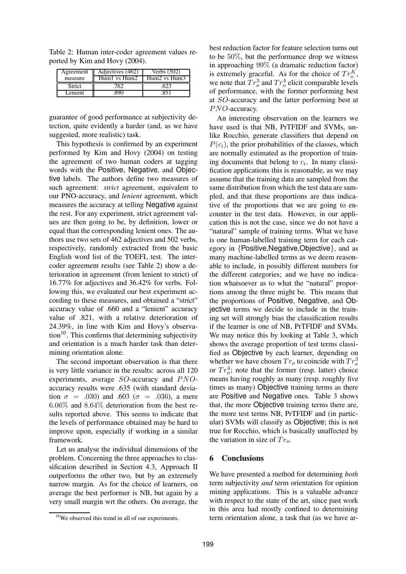Table 2: Human inter-coder agreement values reported by Kim and Hovy (2004).

| Agreement | Adjectives (462)                | Verbs (502)  |
|-----------|---------------------------------|--------------|
| measure   | $H$ um $1 \text{ vs } H$ um $2$ | Hum2 vs Hum3 |
| Strict    |                                 |              |
| Lenient   |                                 |              |

guarantee of good performance at subjectivity detection, quite evidently a harder (and, as we have suggested, more realistic) task.

This hypothesis is confirmed by an experiment performed by Kim and Hovy (2004) on testing the agreement of two human coders at tagging words with the Positive, Negative, and Objective labels. The authors define two measures of such agreement: *strict* agreement, equivalent to our PNO-accuracy, and *lenient* agreement, which measures the accuracy at telling Negative against the rest. For any experiment, strict agreement values are then going to be, by definition, lower or equal than the corresponding lenient ones. The authors use two sets of 462 adjectives and 502 verbs, respectively, randomly extracted from the basic English word list of the TOEFL test. The intercoder agreement results (see Table 2) show a deterioration in agreement (from lenient to strict) of 16.77% for adjectives and 36.42% for verbs. Following this, we evaluated our best experiment according to these measures, and obtained a "strict" accuracy value of .660 and a "lenient" accuracy value of .821, with a relative deterioration of 24.39%, in line with Kim and Hovy's observation<sup>10</sup>. This confirms that determining subjectivity and orientation is a much harder task than determining orientation alone.

The second important observation is that there is very little variance in the results: across all 120 experiments, average  $SO$ -accuracy and  $PNO$ accuracy results were .635 (with standard deviation  $\sigma = .030$  and .603 ( $\sigma = .036$ ), a mere 6.06% and 8.64% deterioration from the best results reported above. This seems to indicate that the levels of performance obtained may be hard to improve upon, especially if working in a similar framework.

Let us analyse the individual dimensions of the problem. Concerning the three approaches to classification described in Section 4.3, Approach II outperforms the other two, but by an extremely narrow margin. As for the choice of learners, on average the best performer is NB, but again by a very small margin wrt the others. On average, the

best reduction factor for feature selection turns out to be 50%, but the performance drop we witness in approaching 99% (a dramatic reduction factor) is extremely graceful. As for the choice of  $Tr_0^K$ , we note that  $Tr_o^3$  and  $Tr_o^4$  elicit comparable levels of performance, with the former performing best at SO-accuracy and the latter performing best at PNO-accuracy.

An interesting observation on the learners we have used is that NB, PrTFIDF and SVMs, unlike Rocchio, generate classifiers that depend on  $P(c_i)$ , the prior probabilities of the classes, which are normally estimated as the proportion of training documents that belong to  $c_i$ . In many classification applications this is reasonable, as we may assume that the training data are sampled from the same distribution from which the test data are sampled, and that these proportions are thus indicative of the proportions that we are going to encounter in the test data. However, in our application this is not the case, since we do not have a "natural" sample of training terms. What we have is one human-labelled training term for each category in {Positive,Negative,Objective}, and as many machine-labelled terms as we deem reasonable to include, in possibly different numbers for the different categories; and we have no indication whatsoever as to what the "natural" proportions among the three might be. This means that the proportions of Positive, Negative, and Objective terms we decide to include in the training set will strongly bias the classification results if the learner is one of NB, PrTFIDF and SVMs. We may notice this by looking at Table 3, which shows the average proportion of test terms classified as Objective by each learner, depending on whether we have chosen  $Tr_o$  to coincide with  $Tr_o^3$ or  $Tr_0^4$ ; note that the former (resp. latter) choice means having roughly as many (resp. roughly five times as many) Objective training terms as there are Positive and Negative ones. Table 3 shows that, the more Objective training terms there are, the more test terms NB, PrTFIDF and (in particular) SVMs will classify as Objective; this is not true for Rocchio, which is basically unaffected by the variation in size of  $Tr_{\alpha}$ .

#### **6 Conclusions**

We have presented a method for determining *both* term subjectivity *and* term orientation for opinion mining applications. This is a valuable advance with respect to the state of the art, since past work in this area had mostly confined to determining term orientation alone, a task that (as we have ar-

<sup>&</sup>lt;sup>10</sup>We observed this trend in all of our experiments.